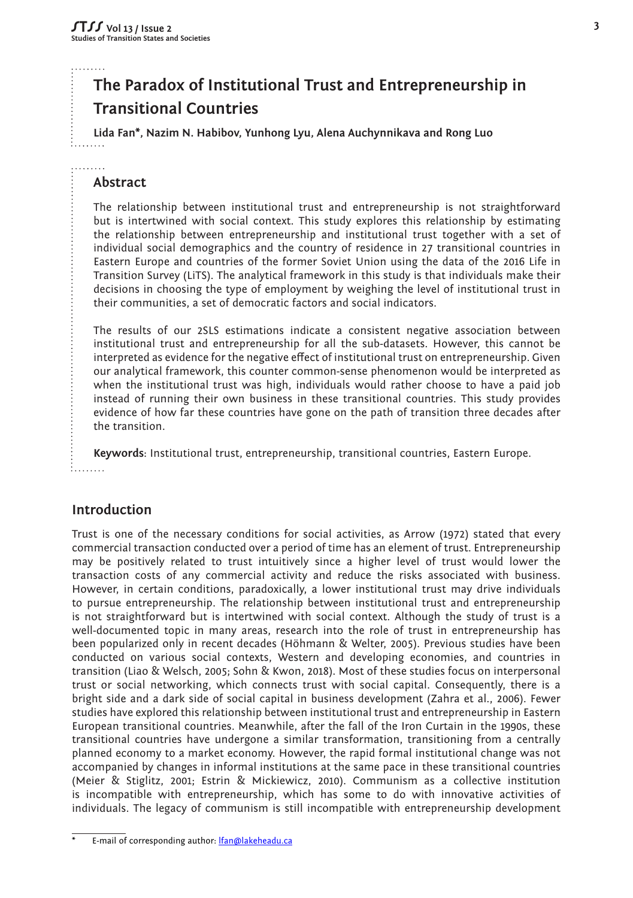# **The Paradox of Institutional Trust and Entrepreneurship in Transitional Countries**

**Lida Fan\*, Nazim N. Habibov, Yunhong Lyu, Alena Auchynnikava and Rong Luo**

# **Abstract**

The relationship between institutional trust and entrepreneurship is not straightforward but is intertwined with social context. This study explores this relationship by estimating the relationship between entrepreneurship and institutional trust together with a set of individual social demographics and the country of residence in 27 transitional countries in Eastern Europe and countries of the former Soviet Union using the data of the 2016 Life in Transition Survey (LiTS). The analytical framework in this study is that individuals make their decisions in choosing the type of employment by weighing the level of institutional trust in their communities, a set of democratic factors and social indicators.

The results of our 2SLS estimations indicate a consistent negative association between institutional trust and entrepreneurship for all the sub-datasets. However, this cannot be interpreted as evidence for the negative effect of institutional trust on entrepreneurship. Given our analytical framework, this counter common-sense phenomenon would be interpreted as when the institutional trust was high, individuals would rather choose to have a paid job instead of running their own business in these transitional countries. This study provides evidence of how far these countries have gone on the path of transition three decades after the transition.

**Keywords**: Institutional trust, entrepreneurship, transitional countries, Eastern Europe. i. . . . . . . **.** 

# **Introduction**

Trust is one of the necessary conditions for social activities, as Arrow (1972) stated that every commercial transaction conducted over a period of time has an element of trust. Entrepreneurship may be positively related to trust intuitively since a higher level of trust would lower the transaction costs of any commercial activity and reduce the risks associated with business. However, in certain conditions, paradoxically, a lower institutional trust may drive individuals to pursue entrepreneurship. The relationship between institutional trust and entrepreneurship is not straightforward but is intertwined with social context. Although the study of trust is a well-documented topic in many areas, research into the role of trust in entrepreneurship has been popularized only in recent decades (Höhmann & Welter, 2005). Previous studies have been conducted on various social contexts, Western and developing economies, and countries in transition (Liao & Welsch, 2005; Sohn & Kwon, 2018). Most of these studies focus on interpersonal trust or social networking, which connects trust with social capital. Consequently, there is a bright side and a dark side of social capital in business development (Zahra et al., 2006). Fewer studies have explored this relationship between institutional trust and entrepreneurship in Eastern European transitional countries. Meanwhile, after the fall of the Iron Curtain in the 1990s, these transitional countries have undergone a similar transformation, transitioning from a centrally planned economy to a market economy. However, the rapid formal institutional change was not accompanied by changes in informal institutions at the same pace in these transitional countries (Meier & Stiglitz, 2001; Estrin & Mickiewicz, 2010). Communism as a collective institution is incompatible with entrepreneurship, which has some to do with innovative activities of individuals. The legacy of communism is still incompatible with entrepreneurship development

E-mail of corresponding author: *lfan@lakeheadu.ca*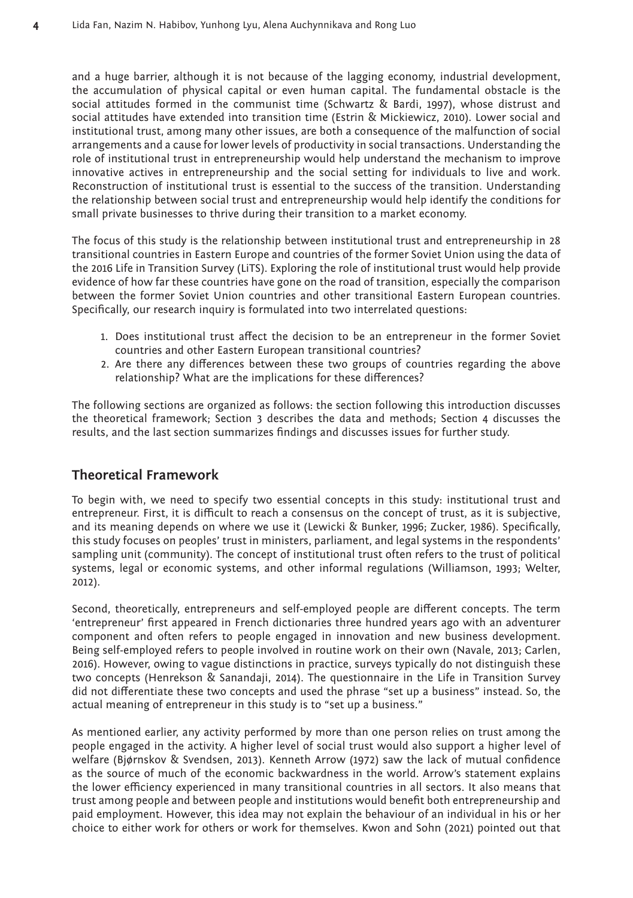and a huge barrier, although it is not because of the lagging economy, industrial development, the accumulation of physical capital or even human capital. The fundamental obstacle is the social attitudes formed in the communist time (Schwartz & Bardi, 1997), whose distrust and social attitudes have extended into transition time (Estrin & Mickiewicz, 2010). Lower social and institutional trust, among many other issues, are both a consequence of the malfunction of social arrangements and a cause for lower levels of productivity in social transactions. Understanding the role of institutional trust in entrepreneurship would help understand the mechanism to improve innovative actives in entrepreneurship and the social setting for individuals to live and work. Reconstruction of institutional trust is essential to the success of the transition. Understanding the relationship between social trust and entrepreneurship would help identify the conditions for small private businesses to thrive during their transition to a market economy.

The focus of this study is the relationship between institutional trust and entrepreneurship in 28 transitional countries in Eastern Europe and countries of the former Soviet Union using the data of the 2016 Life in Transition Survey (LiTS). Exploring the role of institutional trust would help provide evidence of how far these countries have gone on the road of transition, especially the comparison between the former Soviet Union countries and other transitional Eastern European countries. Specifically, our research inquiry is formulated into two interrelated questions:

- 1. Does institutional trust affect the decision to be an entrepreneur in the former Soviet countries and other Eastern European transitional countries?
- 2. Are there any differences between these two groups of countries regarding the above relationship? What are the implications for these differences?

The following sections are organized as follows: the section following this introduction discusses the theoretical framework; Section 3 describes the data and methods; Section 4 discusses the results, and the last section summarizes findings and discusses issues for further study.

# **Theoretical Framework**

To begin with, we need to specify two essential concepts in this study: institutional trust and entrepreneur. First, it is difficult to reach a consensus on the concept of trust, as it is subjective, and its meaning depends on where we use it (Lewicki & Bunker, 1996; Zucker, 1986). Specifically, this study focuses on peoples' trust in ministers, parliament, and legal systems in the respondents' sampling unit (community). The concept of institutional trust often refers to the trust of political systems, legal or economic systems, and other informal regulations (Williamson, 1993; Welter, 2012).

Second, theoretically, entrepreneurs and self-employed people are different concepts. The term 'entrepreneur' first appeared in French dictionaries three hundred years ago with an adventurer component and often refers to people engaged in innovation and new business development. Being self-employed refers to people involved in routine work on their own (Navale, 2013; Carlen, 2016). However, owing to vague distinctions in practice, surveys typically do not distinguish these two concepts (Henrekson & Sanandaji, 2014). The questionnaire in the Life in Transition Survey did not differentiate these two concepts and used the phrase "set up a business" instead. So, the actual meaning of entrepreneur in this study is to "set up a business."

As mentioned earlier, any activity performed by more than one person relies on trust among the people engaged in the activity. A higher level of social trust would also support a higher level of welfare (Bjørnskov & Svendsen, 2013). Kenneth Arrow (1972) saw the lack of mutual confidence as the source of much of the economic backwardness in the world. Arrow's statement explains the lower efficiency experienced in many transitional countries in all sectors. It also means that trust among people and between people and institutions would benefit both entrepreneurship and paid employment. However, this idea may not explain the behaviour of an individual in his or her choice to either work for others or work for themselves. Kwon and Sohn (2021) pointed out that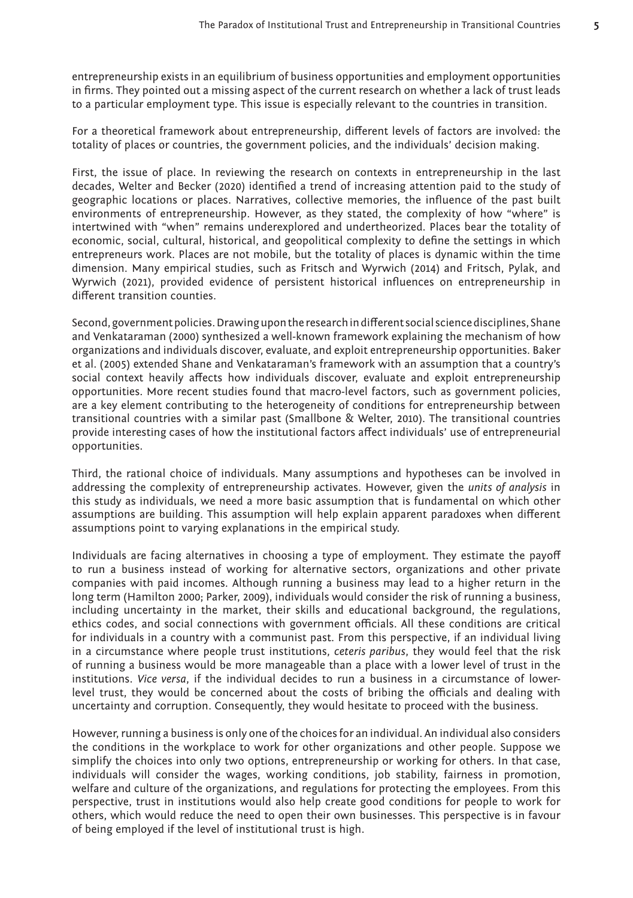entrepreneurship exists in an equilibrium of business opportunities and employment opportunities in firms. They pointed out a missing aspect of the current research on whether a lack of trust leads to a particular employment type. This issue is especially relevant to the countries in transition.

For a theoretical framework about entrepreneurship, different levels of factors are involved: the totality of places or countries, the government policies, and the individuals' decision making.

First, the issue of place. In reviewing the research on contexts in entrepreneurship in the last decades, Welter and Becker (2020) identified a trend of increasing attention paid to the study of geographic locations or places. Narratives, collective memories, the influence of the past built environments of entrepreneurship. However, as they stated, the complexity of how "where" is intertwined with "when" remains underexplored and undertheorized. Places bear the totality of economic, social, cultural, historical, and geopolitical complexity to define the settings in which entrepreneurs work. Places are not mobile, but the totality of places is dynamic within the time dimension. Many empirical studies, such as Fritsch and Wyrwich (2014) and Fritsch, Pylak, and Wyrwich (2021), provided evidence of persistent historical influences on entrepreneurship in different transition counties.

Second, government policies. Drawing upon the research in different social science disciplines, Shane and Venkataraman (2000) synthesized a well-known framework explaining the mechanism of how organizations and individuals discover, evaluate, and exploit entrepreneurship opportunities. Baker et al. (2005) extended Shane and Venkataraman's framework with an assumption that a country's social context heavily affects how individuals discover, evaluate and exploit entrepreneurship opportunities. More recent studies found that macro-level factors, such as government policies, are a key element contributing to the heterogeneity of conditions for entrepreneurship between transitional countries with a similar past (Smallbone & Welter, 2010). The transitional countries provide interesting cases of how the institutional factors affect individuals' use of entrepreneurial opportunities.

Third, the rational choice of individuals. Many assumptions and hypotheses can be involved in addressing the complexity of entrepreneurship activates. However, given the *units of analysis* in this study as individuals, we need a more basic assumption that is fundamental on which other assumptions are building. This assumption will help explain apparent paradoxes when different assumptions point to varying explanations in the empirical study.

Individuals are facing alternatives in choosing a type of employment. They estimate the payoff to run a business instead of working for alternative sectors, organizations and other private companies with paid incomes. Although running a business may lead to a higher return in the long term (Hamilton 2000; Parker, 2009), individuals would consider the risk of running a business, including uncertainty in the market, their skills and educational background, the regulations, ethics codes, and social connections with government officials. All these conditions are critical for individuals in a country with a communist past. From this perspective, if an individual living in a circumstance where people trust institutions, *ceteris paribus*, they would feel that the risk of running a business would be more manageable than a place with a lower level of trust in the institutions. *Vice versa*, if the individual decides to run a business in a circumstance of lowerlevel trust, they would be concerned about the costs of bribing the officials and dealing with uncertainty and corruption. Consequently, they would hesitate to proceed with the business.

However, running a business is only one of the choices for an individual. An individual also considers the conditions in the workplace to work for other organizations and other people. Suppose we simplify the choices into only two options, entrepreneurship or working for others. In that case, individuals will consider the wages, working conditions, job stability, fairness in promotion, welfare and culture of the organizations, and regulations for protecting the employees. From this perspective, trust in institutions would also help create good conditions for people to work for others, which would reduce the need to open their own businesses. This perspective is in favour of being employed if the level of institutional trust is high.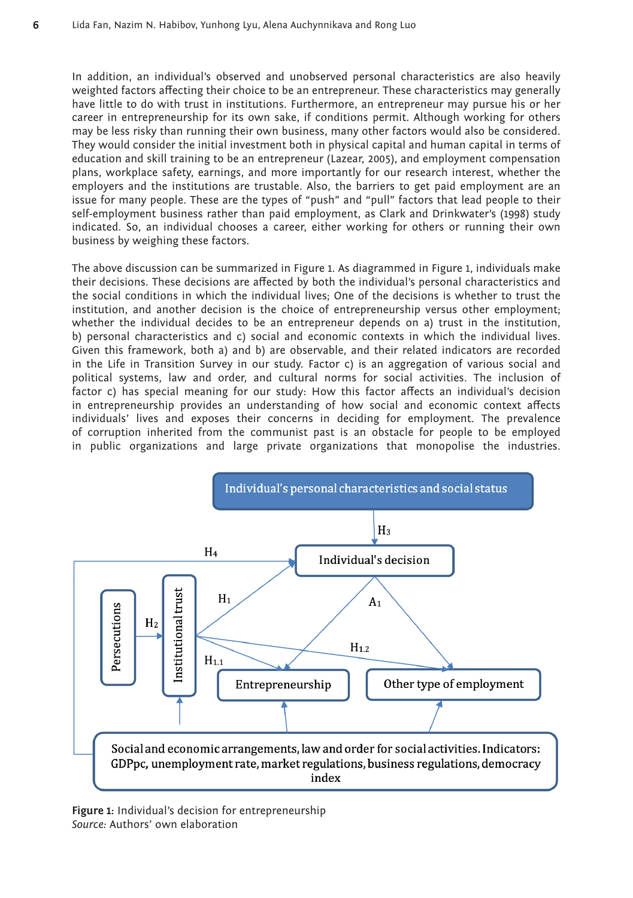In addition, an individual's observed and unobserved personal characteristics are also heavily weighted factors affecting their choice to be an entrepreneur. These characteristics may generally have little to do with trust in institutions. Furthermore, an entrepreneur may pursue his or her career in entrepreneurship for its own sake, if conditions permit. Although working for others may be less risky than running their own business, many other factors would also be considered. They would consider the initial investment both in physical capital and human capital in terms of education and skill training to be an entrepreneur (Lazear, 2005), and employment compensation plans, workplace safety, earnings, and more importantly for our research interest, whether the employers and the institutions are trustable. Also, the barriers to get paid employment are an issue for many people. These are the types of "push" and "pull" factors that lead people to their self-employment business rather than paid employment, as Clark and Drinkwater's (1998) study indicated. So, an individual chooses a career, either working for others or running their own business by weighing these factors.

The above discussion can be summarized in Figure 1. As diagrammed in Figure 1, individuals make their decisions. These decisions are affected by both the individual's personal characteristics and the social conditions in which the individual lives; One of the decisions is whether to trust the institution, and another decision is the choice of entrepreneurship versus other employment; whether the individual decides to be an entrepreneur depends on a) trust in the institution, b) personal characteristics and c) social and economic contexts in which the individual lives. Given this framework, both a) and b) are observable, and their related indicators are recorded in the Life in Transition Survey in our study. Factor c) is an aggregation of various social and political systems, law and order, and cultural norms for social activities. The inclusion of factor c) has special meaning for our study: How this factor affects an individual's decision in entrepreneurship provides an understanding of how social and economic context affects individuals' lives and exposes their concerns in deciding for employment. The prevalence of corruption inherited from the communist past is an obstacle for people to be employed in public organizations and large private organizations that monopolise the industries.



**Figure 1:** Individual's decision for entrepreneurship *Source:* Authors' own elaboration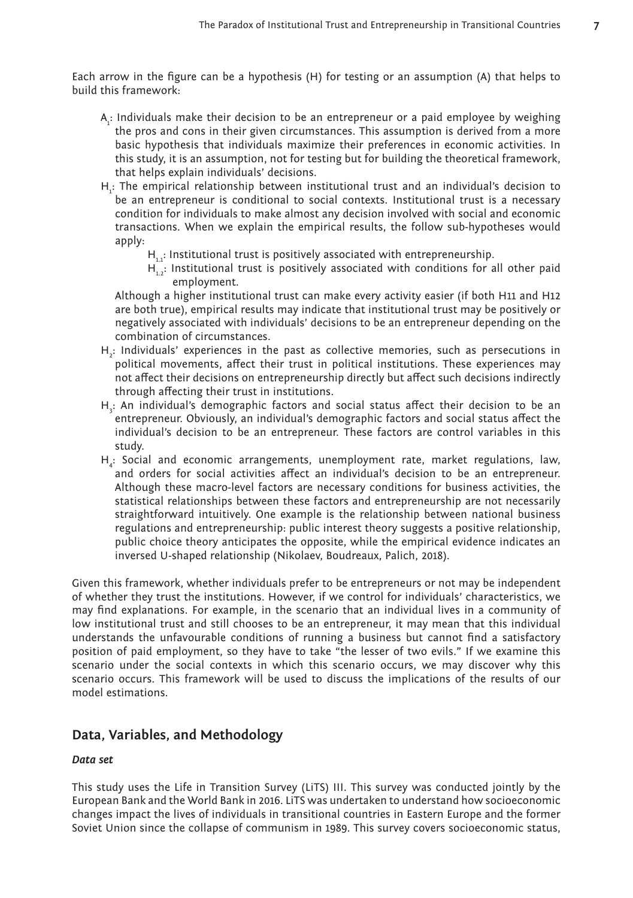Each arrow in the figure can be a hypothesis (H) for testing or an assumption (A) that helps to build this framework:

- $A_i$ : Individuals make their decision to be an entrepreneur or a paid employee by weighing the pros and cons in their given circumstances. This assumption is derived from a more basic hypothesis that individuals maximize their preferences in economic activities. In this study, it is an assumption, not for testing but for building the theoretical framework, that helps explain individuals' decisions.
- $H_i$ : The empirical relationship between institutional trust and an individual's decision to be an entrepreneur is conditional to social contexts. Institutional trust is a necessary condition for individuals to make almost any decision involved with social and economic transactions. When we explain the empirical results, the follow sub-hypotheses would apply:
	- $H_{1,1}$ : Institutional trust is positively associated with entrepreneurship.
	- $H_{1,2}^{+}$ : Institutional trust is positively associated with conditions for all other paid employment.

Although a higher institutional trust can make every activity easier (if both H11 and H12 are both true), empirical results may indicate that institutional trust may be positively or negatively associated with individuals' decisions to be an entrepreneur depending on the combination of circumstances.

- $H_2$ : Individuals' experiences in the past as collective memories, such as persecutions in political movements, affect their trust in political institutions. These experiences may not affect their decisions on entrepreneurship directly but affect such decisions indirectly through affecting their trust in institutions.
- $H_3$ : An individual's demographic factors and social status affect their decision to be an entrepreneur. Obviously, an individual's demographic factors and social status affect the individual's decision to be an entrepreneur. These factors are control variables in this study.
- H<sub>4</sub>: Social and economic arrangements, unemployment rate, market regulations, law, and orders for social activities affect an individual's decision to be an entrepreneur. Although these macro-level factors are necessary conditions for business activities, the statistical relationships between these factors and entrepreneurship are not necessarily straightforward intuitively. One example is the relationship between national business regulations and entrepreneurship: public interest theory suggests a positive relationship, public choice theory anticipates the opposite, while the empirical evidence indicates an inversed U-shaped relationship (Nikolaev, Boudreaux, Palich, 2018).

Given this framework, whether individuals prefer to be entrepreneurs or not may be independent of whether they trust the institutions. However, if we control for individuals' characteristics, we may find explanations. For example, in the scenario that an individual lives in a community of low institutional trust and still chooses to be an entrepreneur, it may mean that this individual understands the unfavourable conditions of running a business but cannot find a satisfactory position of paid employment, so they have to take "the lesser of two evils." If we examine this scenario under the social contexts in which this scenario occurs, we may discover why this scenario occurs. This framework will be used to discuss the implications of the results of our model estimations.

### **Data, Variables, and Methodology**

#### *Data set*

This study uses the Life in Transition Survey (LiTS) III. This survey was conducted jointly by the European Bank and the World Bank in 2016. LiTS was undertaken to understand how socioeconomic changes impact the lives of individuals in transitional countries in Eastern Europe and the former Soviet Union since the collapse of communism in 1989. This survey covers socioeconomic status,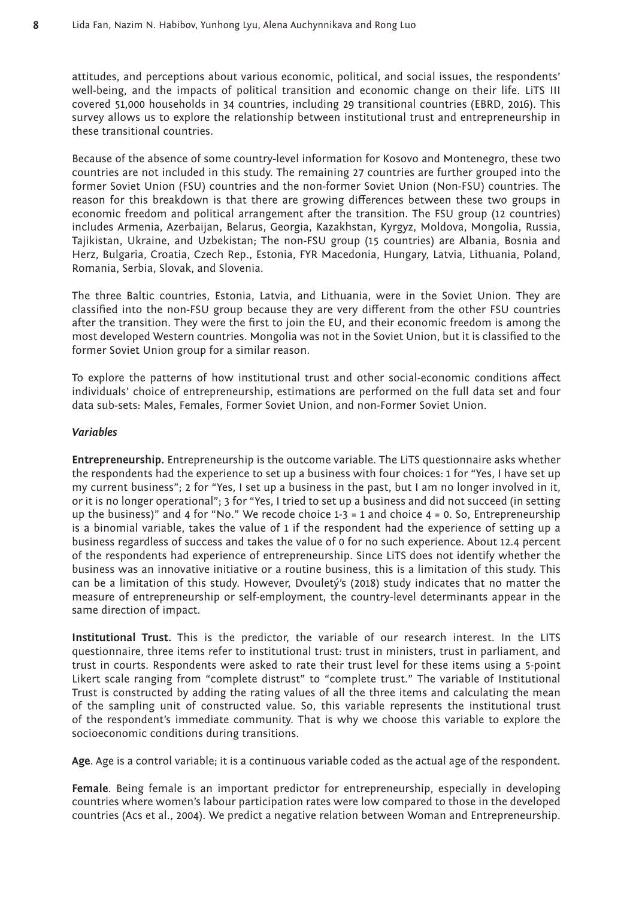attitudes, and perceptions about various economic, political, and social issues, the respondents' well-being, and the impacts of political transition and economic change on their life. LiTS III covered 51,000 households in 34 countries, including 29 transitional countries (EBRD, 2016). This survey allows us to explore the relationship between institutional trust and entrepreneurship in these transitional countries.

Because of the absence of some country-level information for Kosovo and Montenegro, these two countries are not included in this study. The remaining 27 countries are further grouped into the former Soviet Union (FSU) countries and the non-former Soviet Union (Non-FSU) countries. The reason for this breakdown is that there are growing differences between these two groups in economic freedom and political arrangement after the transition. The FSU group (12 countries) includes Armenia, Azerbaijan, Belarus, Georgia, Kazakhstan, Kyrgyz, Moldova, Mongolia, Russia, Tajikistan, Ukraine, and Uzbekistan; The non-FSU group (15 countries) are Albania, Bosnia and Herz, Bulgaria, Croatia, Czech Rep., Estonia, FYR Macedonia, Hungary, Latvia, Lithuania, Poland, Romania, Serbia, Slovak, and Slovenia.

The three Baltic countries, Estonia, Latvia, and Lithuania, were in the Soviet Union. They are classified into the non-FSU group because they are very different from the other FSU countries after the transition. They were the first to join the EU, and their economic freedom is among the most developed Western countries. Mongolia was not in the Soviet Union, but it is classified to the former Soviet Union group for a similar reason.

To explore the patterns of how institutional trust and other social-economic conditions affect individuals' choice of entrepreneurship, estimations are performed on the full data set and four data sub-sets: Males, Females, Former Soviet Union, and non-Former Soviet Union.

#### *Variables*

**Entrepreneurship.** Entrepreneurship is the outcome variable. The LiTS questionnaire asks whether the respondents had the experience to set up a business with four choices: 1 for "Yes, I have set up my current business"; 2 for "Yes, I set up a business in the past, but I am no longer involved in it, or it is no longer operational"; 3 for "Yes, I tried to set up a business and did not succeed (in setting up the business)" and 4 for "No." We recode choice  $1-3 = 1$  and choice  $4 = 0$ . So, Entrepreneurship is a binomial variable, takes the value of 1 if the respondent had the experience of setting up a business regardless of success and takes the value of 0 for no such experience. About 12.4 percent of the respondents had experience of entrepreneurship. Since LiTS does not identify whether the business was an innovative initiative or a routine business, this is a limitation of this study. This can be a limitation of this study. However, Dvouletý's (2018) study indicates that no matter the measure of entrepreneurship or self-employment, the country-level determinants appear in the same direction of impact.

**Institutional Trust.** This is the predictor, the variable of our research interest. In the LITS questionnaire, three items refer to institutional trust: trust in ministers, trust in parliament, and trust in courts. Respondents were asked to rate their trust level for these items using a 5-point Likert scale ranging from "complete distrust" to "complete trust." The variable of Institutional Trust is constructed by adding the rating values of all the three items and calculating the mean of the sampling unit of constructed value. So, this variable represents the institutional trust of the respondent's immediate community. That is why we choose this variable to explore the socioeconomic conditions during transitions.

**Age**. Age is a control variable; it is a continuous variable coded as the actual age of the respondent.

**Female**. Being female is an important predictor for entrepreneurship, especially in developing countries where women's labour participation rates were low compared to those in the developed countries (Acs et al., 2004). We predict a negative relation between Woman and Entrepreneurship.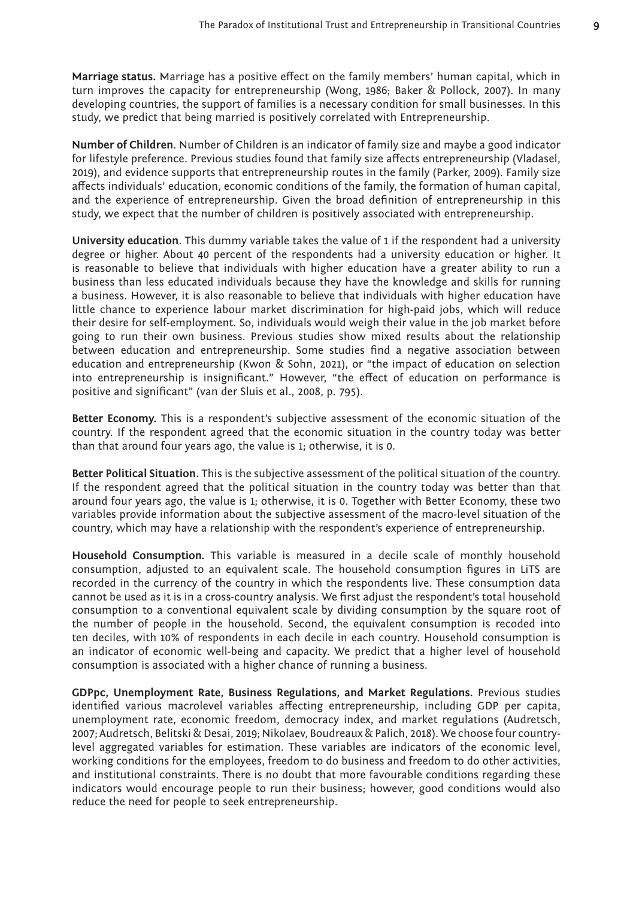**Marriage status.** Marriage has a positive effect on the family members' human capital, which in turn improves the capacity for entrepreneurship (Wong, 1986; Baker & Pollock, 2007). In many developing countries, the support of families is a necessary condition for small businesses. In this study, we predict that being married is positively correlated with Entrepreneurship.

**Number of Children**. Number of Children is an indicator of family size and maybe a good indicator for lifestyle preference. Previous studies found that family size affects entrepreneurship (Vladasel, 2019), and evidence supports that entrepreneurship routes in the family (Parker, 2009). Family size affects individuals' education, economic conditions of the family, the formation of human capital, and the experience of entrepreneurship. Given the broad definition of entrepreneurship in this study, we expect that the number of children is positively associated with entrepreneurship.

**University education**. This dummy variable takes the value of 1 if the respondent had a university degree or higher. About 40 percent of the respondents had a university education or higher. It is reasonable to believe that individuals with higher education have a greater ability to run a business than less educated individuals because they have the knowledge and skills for running a business. However, it is also reasonable to believe that individuals with higher education have little chance to experience labour market discrimination for high-paid jobs, which will reduce their desire for self-employment. So, individuals would weigh their value in the job market before going to run their own business. Previous studies show mixed results about the relationship between education and entrepreneurship. Some studies find a negative association between education and entrepreneurship (Kwon & Sohn, 2021), or "the impact of education on selection into entrepreneurship is insignificant." However, "the effect of education on performance is positive and significant" (van der Sluis et al., 2008, p. 795).

**Better Economy.** This is a respondent's subjective assessment of the economic situation of the country. If the respondent agreed that the economic situation in the country today was better than that around four years ago, the value is 1; otherwise, it is 0.

**Better Political Situation.** This is the subjective assessment of the political situation of the country. If the respondent agreed that the political situation in the country today was better than that around four years ago, the value is 1; otherwise, it is 0. Together with Better Economy, these two variables provide information about the subjective assessment of the macro-level situation of the country, which may have a relationship with the respondent's experience of entrepreneurship.

**Household Consumption***.* This variable is measured in a decile scale of monthly household consumption, adjusted to an equivalent scale. The household consumption figures in LiTS are recorded in the currency of the country in which the respondents live. These consumption data cannot be used as it is in a cross-country analysis. We first adjust the respondent's total household consumption to a conventional equivalent scale by dividing consumption by the square root of the number of people in the household. Second, the equivalent consumption is recoded into ten deciles, with 10% of respondents in each decile in each country. Household consumption is an indicator of economic well-being and capacity. We predict that a higher level of household consumption is associated with a higher chance of running a business.

**GDPpc, Unemployment Rate, Business Regulations, and Market Regulations.** Previous studies identified various macrolevel variables affecting entrepreneurship, including GDP per capita, unemployment rate, economic freedom, democracy index, and market regulations (Audretsch, 2007; Audretsch, Belitski & Desai, 2019; Nikolaev, Boudreaux & Palich, 2018). We choose four countrylevel aggregated variables for estimation. These variables are indicators of the economic level, working conditions for the employees, freedom to do business and freedom to do other activities, and institutional constraints. There is no doubt that more favourable conditions regarding these indicators would encourage people to run their business; however, good conditions would also reduce the need for people to seek entrepreneurship.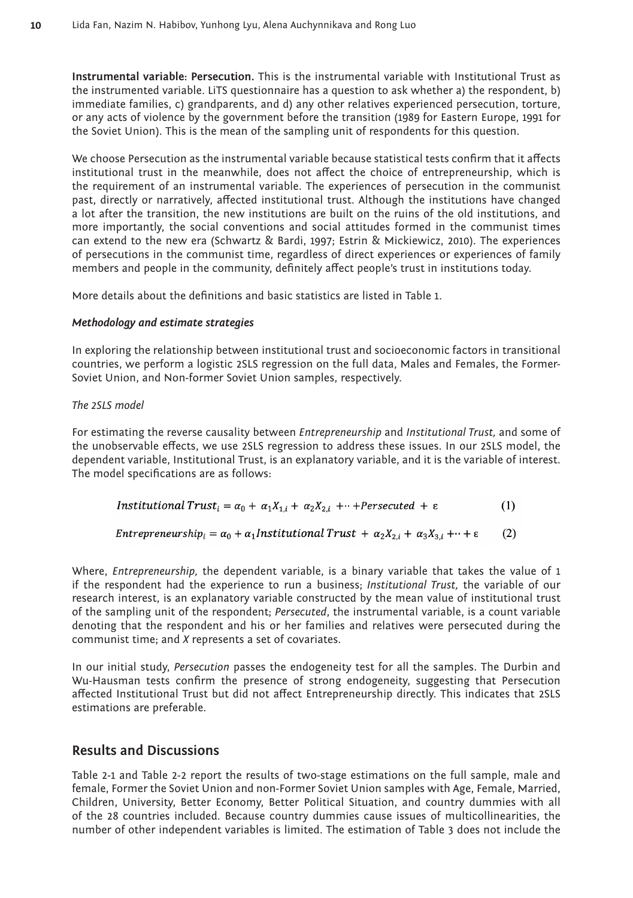**Instrumental variable: Persecution.** This is the instrumental variable with Institutional Trust as the instrumented variable. LiTS questionnaire has a question to ask whether a) the respondent, b) immediate families, c) grandparents, and d) any other relatives experienced persecution, torture, or any acts of violence by the government before the transition (1989 for Eastern Europe, 1991 for the Soviet Union). This is the mean of the sampling unit of respondents for this question.

We choose Persecution as the instrumental variable because statistical tests confirm that it affects institutional trust in the meanwhile, does not affect the choice of entrepreneurship, which is the requirement of an instrumental variable. The experiences of persecution in the communist past, directly or narratively, affected institutional trust. Although the institutions have changed a lot after the transition, the new institutions are built on the ruins of the old institutions, and more importantly, the social conventions and social attitudes formed in the communist times can extend to the new era (Schwartz & Bardi, 1997; Estrin & Mickiewicz, 2010). The experiences of persecutions in the communist time, regardless of direct experiences or experiences of family members and people in the community, definitely affect people's trust in institutions today.

More details about the definitions and basic statistics are listed in Table 1.

#### *Methodology and estimate strategies*

In exploring the relationship between institutional trust and socioeconomic factors in transitional countries, we perform a logistic 2SLS regression on the full data, Males and Females, the Former-Soviet Union, and Non-former Soviet Union samples, respectively.

#### *The 2SLS model*

For estimating the reverse causality between *Entrepreneurship* and *Institutional Trust,* and some of the unobservable effects, we use 2SLS regression to address these issues. In our 2SLS model, the dependent variable, Institutional Trust, is an explanatory variable, and it is the variable of interest. The model specifications are as follows:

$$
Institutional Trusti = \alpha_0 + \alpha_1 X_{1,i} + \alpha_2 X_{2,i} + \cdots + Persecuted + \epsilon
$$
 (1)

Entrepreneurship<sub>i</sub> =  $\alpha_0$  +  $\alpha_1$ Institutional Trust +  $\alpha_2 X_{2,i}$  +  $\alpha_3 X_{3,i}$  + · +  $\epsilon$  $(2)$ 

Where, *Entrepreneurship,* the dependent variable, is a binary variable that takes the value of 1 if the respondent had the experience to run a business; *Institutional Trust,* the variable of our research interest, is an explanatory variable constructed by the mean value of institutional trust of the sampling unit of the respondent; *Persecuted*, the instrumental variable, is a count variable denoting that the respondent and his or her families and relatives were persecuted during the communist time; and *X* represents a set of covariates.

In our initial study, *Persecution* passes the endogeneity test for all the samples. The Durbin and Wu-Hausman tests confirm the presence of strong endogeneity, suggesting that Persecution affected Institutional Trust but did not affect Entrepreneurship directly. This indicates that 2SLS estimations are preferable.

# **Results and Discussions**

Table 2-1 and Table 2-2 report the results of two-stage estimations on the full sample, male and female, Former the Soviet Union and non-Former Soviet Union samples with Age, Female, Married, Children, University, Better Economy, Better Political Situation, and country dummies with all of the 28 countries included. Because country dummies cause issues of multicollinearities, the number of other independent variables is limited. The estimation of Table 3 does not include the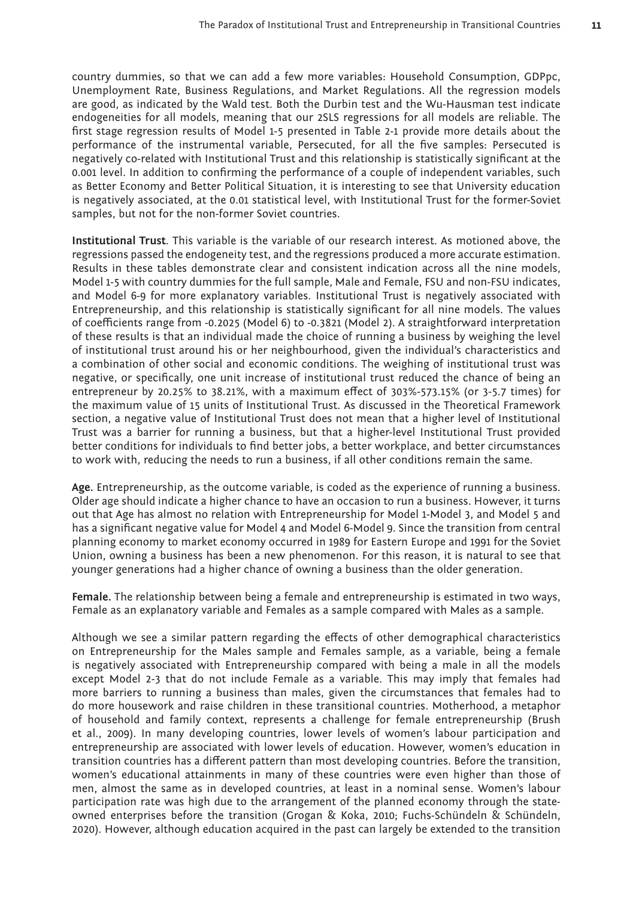country dummies, so that we can add a few more variables: Household Consumption, GDPpc, Unemployment Rate, Business Regulations, and Market Regulations. All the regression models are good, as indicated by the Wald test. Both the Durbin test and the Wu-Hausman test indicate endogeneities for all models, meaning that our 2SLS regressions for all models are reliable. The first stage regression results of Model 1-5 presented in Table 2-1 provide more details about the performance of the instrumental variable, Persecuted, for all the five samples: Persecuted is negatively co-related with Institutional Trust and this relationship is statistically significant at the 0.001 level. In addition to confirming the performance of a couple of independent variables, such as Better Economy and Better Political Situation, it is interesting to see that University education is negatively associated, at the 0.01 statistical level, with Institutional Trust for the former-Soviet samples, but not for the non-former Soviet countries.

**Institutional Trust**. This variable is the variable of our research interest. As motioned above, the regressions passed the endogeneity test, and the regressions produced a more accurate estimation. Results in these tables demonstrate clear and consistent indication across all the nine models, Model 1-5 with country dummies for the full sample, Male and Female, FSU and non-FSU indicates, and Model 6-9 for more explanatory variables. Institutional Trust is negatively associated with Entrepreneurship, and this relationship is statistically significant for all nine models. The values of coefficients range from -0.2025 (Model 6) to -0.3821 (Model 2). A straightforward interpretation of these results is that an individual made the choice of running a business by weighing the level of institutional trust around his or her neighbourhood, given the individual's characteristics and a combination of other social and economic conditions. The weighing of institutional trust was negative, or specifically, one unit increase of institutional trust reduced the chance of being an entrepreneur by 20.25% to 38.21%, with a maximum effect of 303%-573.15% (or 3-5.7 times) for the maximum value of 15 units of Institutional Trust. As discussed in the Theoretical Framework section, a negative value of Institutional Trust does not mean that a higher level of Institutional Trust was a barrier for running a business, but that a higher-level Institutional Trust provided better conditions for individuals to find better jobs, a better workplace, and better circumstances to work with, reducing the needs to run a business, if all other conditions remain the same.

**Age.** Entrepreneurship, as the outcome variable, is coded as the experience of running a business. Older age should indicate a higher chance to have an occasion to run a business. However, it turns out that Age has almost no relation with Entrepreneurship for Model 1-Model 3, and Model 5 and has a significant negative value for Model 4 and Model 6-Model 9. Since the transition from central planning economy to market economy occurred in 1989 for Eastern Europe and 1991 for the Soviet Union, owning a business has been a new phenomenon. For this reason, it is natural to see that younger generations had a higher chance of owning a business than the older generation.

**Female.** The relationship between being a female and entrepreneurship is estimated in two ways, Female as an explanatory variable and Females as a sample compared with Males as a sample.

Although we see a similar pattern regarding the effects of other demographical characteristics on Entrepreneurship for the Males sample and Females sample, as a variable, being a female is negatively associated with Entrepreneurship compared with being a male in all the models except Model 2-3 that do not include Female as a variable. This may imply that females had more barriers to running a business than males, given the circumstances that females had to do more housework and raise children in these transitional countries. Motherhood, a metaphor of household and family context, represents a challenge for female entrepreneurship (Brush et al., 2009). In many developing countries, lower levels of women's labour participation and entrepreneurship are associated with lower levels of education. However, women's education in transition countries has a different pattern than most developing countries. Before the transition, women's educational attainments in many of these countries were even higher than those of men, almost the same as in developed countries, at least in a nominal sense. Women's labour participation rate was high due to the arrangement of the planned economy through the stateowned enterprises before the transition (Grogan & Koka, 2010; Fuchs-Schündeln & Schündeln, 2020). However, although education acquired in the past can largely be extended to the transition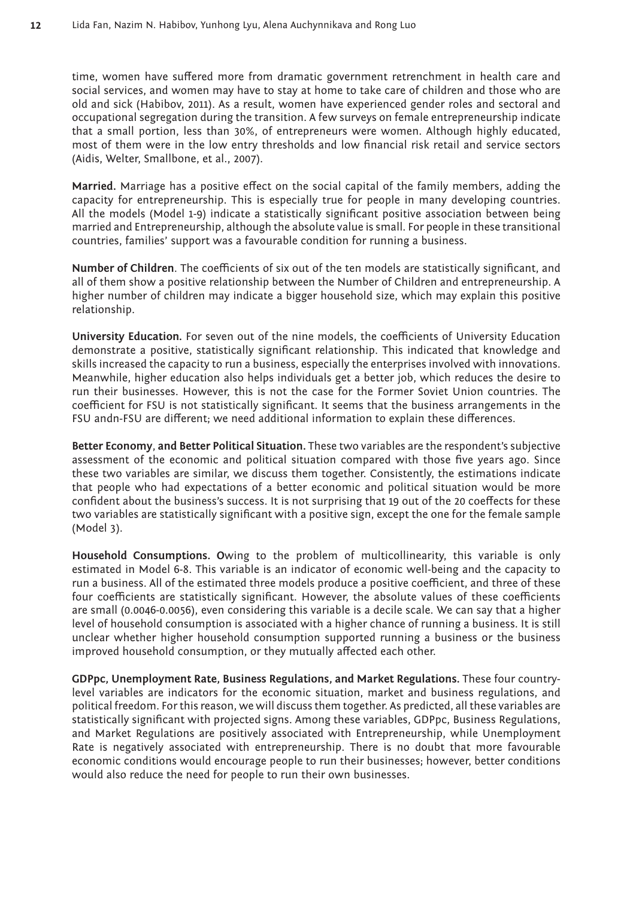time, women have suffered more from dramatic government retrenchment in health care and social services, and women may have to stay at home to take care of children and those who are old and sick (Habibov, 2011). As a result, women have experienced gender roles and sectoral and occupational segregation during the transition. A few surveys on female entrepreneurship indicate that a small portion, less than 30%, of entrepreneurs were women. Although highly educated, most of them were in the low entry thresholds and low financial risk retail and service sectors (Aidis, Welter, Smallbone, et al., 2007).

**Married.** Marriage has a positive effect on the social capital of the family members, adding the capacity for entrepreneurship. This is especially true for people in many developing countries. All the models (Model 1-9) indicate a statistically significant positive association between being married and Entrepreneurship, although the absolute value is small. For people in these transitional countries, families' support was a favourable condition for running a business.

**Number of Children**. The coefficients of six out of the ten models are statistically significant, and all of them show a positive relationship between the Number of Children and entrepreneurship. A higher number of children may indicate a bigger household size, which may explain this positive relationship.

**University Education***.* For seven out of the nine models, the coefficients of University Education demonstrate a positive, statistically significant relationship. This indicated that knowledge and skills increased the capacity to run a business, especially the enterprises involved with innovations. Meanwhile, higher education also helps individuals get a better job, which reduces the desire to run their businesses. However, this is not the case for the Former Soviet Union countries. The coefficient for FSU is not statistically significant. It seems that the business arrangements in the FSU andn-FSU are different; we need additional information to explain these differences.

**Better Economy**, **and Better Political Situation.** These two variables are the respondent's subjective assessment of the economic and political situation compared with those five years ago. Since these two variables are similar, we discuss them together. Consistently, the estimations indicate that people who had expectations of a better economic and political situation would be more confident about the business's success. It is not surprising that 19 out of the 20 coeffects for these two variables are statistically significant with a positive sign, except the one for the female sample (Model 3).

**Household Consumptions. O**wing to the problem of multicollinearity, this variable is only estimated in Model 6-8. This variable is an indicator of economic well-being and the capacity to run a business. All of the estimated three models produce a positive coefficient, and three of these four coefficients are statistically significant. However, the absolute values of these coefficients are small (0.0046-0.0056), even considering this variable is a decile scale. We can say that a higher level of household consumption is associated with a higher chance of running a business. It is still unclear whether higher household consumption supported running a business or the business improved household consumption, or they mutually affected each other.

**GDPpc, Unemployment Rate, Business Regulations, and Market Regulations.** These four countrylevel variables are indicators for the economic situation, market and business regulations, and political freedom. For this reason, we will discuss them together. As predicted, all these variables are statistically significant with projected signs. Among these variables, GDPpc, Business Regulations, and Market Regulations are positively associated with Entrepreneurship, while Unemployment Rate is negatively associated with entrepreneurship. There is no doubt that more favourable economic conditions would encourage people to run their businesses; however, better conditions would also reduce the need for people to run their own businesses.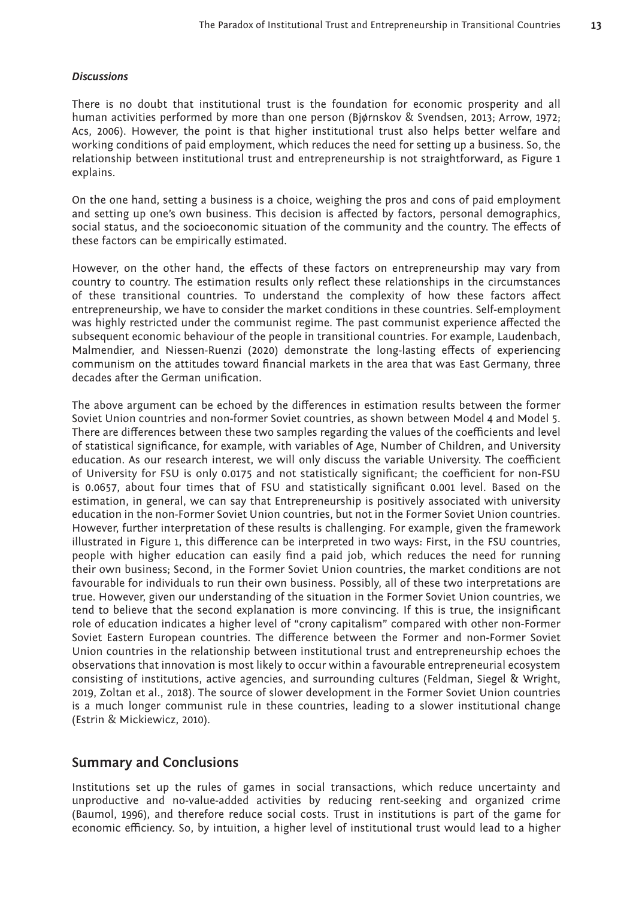#### *Discussions*

There is no doubt that institutional trust is the foundation for economic prosperity and all human activities performed by more than one person (Bjørnskov & Svendsen, 2013; Arrow, 1972; Acs, 2006). However, the point is that higher institutional trust also helps better welfare and working conditions of paid employment, which reduces the need for setting up a business. So, the relationship between institutional trust and entrepreneurship is not straightforward, as Figure 1 explains.

On the one hand, setting a business is a choice, weighing the pros and cons of paid employment and setting up one's own business. This decision is affected by factors, personal demographics, social status, and the socioeconomic situation of the community and the country. The effects of these factors can be empirically estimated.

However, on the other hand, the effects of these factors on entrepreneurship may vary from country to country. The estimation results only reflect these relationships in the circumstances of these transitional countries. To understand the complexity of how these factors affect entrepreneurship, we have to consider the market conditions in these countries. Self-employment was highly restricted under the communist regime. The past communist experience affected the subsequent economic behaviour of the people in transitional countries. For example, Laudenbach, Malmendier, and Niessen-Ruenzi (2020) demonstrate the long-lasting effects of experiencing communism on the attitudes toward financial markets in the area that was East Germany, three decades after the German unification.

The above argument can be echoed by the differences in estimation results between the former Soviet Union countries and non-former Soviet countries, as shown between Model 4 and Model 5. There are differences between these two samples regarding the values of the coefficients and level of statistical significance, for example, with variables of Age, Number of Children, and University education. As our research interest, we will only discuss the variable University. The coefficient of University for FSU is only 0.0175 and not statistically significant; the coefficient for non-FSU is 0.0657, about four times that of FSU and statistically significant 0.001 level. Based on the estimation, in general, we can say that Entrepreneurship is positively associated with university education in the non-Former Soviet Union countries, but not in the Former Soviet Union countries. However, further interpretation of these results is challenging. For example, given the framework illustrated in Figure 1, this difference can be interpreted in two ways: First, in the FSU countries, people with higher education can easily find a paid job, which reduces the need for running their own business; Second, in the Former Soviet Union countries, the market conditions are not favourable for individuals to run their own business. Possibly, all of these two interpretations are true. However, given our understanding of the situation in the Former Soviet Union countries, we tend to believe that the second explanation is more convincing. If this is true, the insignificant role of education indicates a higher level of "crony capitalism" compared with other non-Former Soviet Eastern European countries. The difference between the Former and non-Former Soviet Union countries in the relationship between institutional trust and entrepreneurship echoes the observations that innovation is most likely to occur within a favourable entrepreneurial ecosystem consisting of institutions, active agencies, and surrounding cultures (Feldman, Siegel & Wright, 2019, Zoltan et al., 2018). The source of slower development in the Former Soviet Union countries is a much longer communist rule in these countries, leading to a slower institutional change (Estrin & Mickiewicz, 2010).

# **Summary and Conclusions**

Institutions set up the rules of games in social transactions, which reduce uncertainty and unproductive and no-value-added activities by reducing rent-seeking and organized crime (Baumol, 1996), and therefore reduce social costs. Trust in institutions is part of the game for economic efficiency. So, by intuition, a higher level of institutional trust would lead to a higher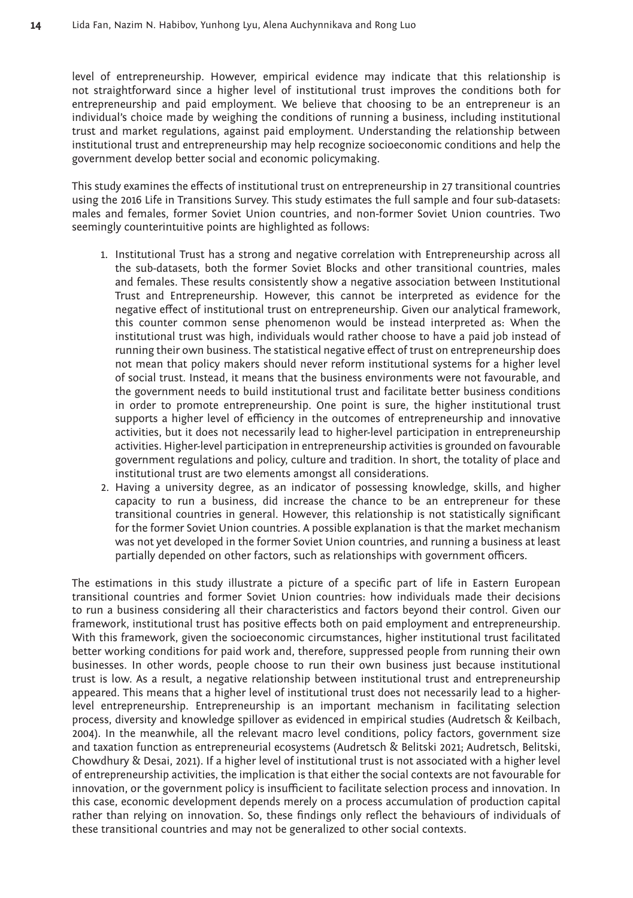level of entrepreneurship. However, empirical evidence may indicate that this relationship is not straightforward since a higher level of institutional trust improves the conditions both for entrepreneurship and paid employment. We believe that choosing to be an entrepreneur is an individual's choice made by weighing the conditions of running a business, including institutional trust and market regulations, against paid employment. Understanding the relationship between institutional trust and entrepreneurship may help recognize socioeconomic conditions and help the government develop better social and economic policymaking.

This study examines the effects of institutional trust on entrepreneurship in 27 transitional countries using the 2016 Life in Transitions Survey. This study estimates the full sample and four sub-datasets: males and females, former Soviet Union countries, and non-former Soviet Union countries. Two seemingly counterintuitive points are highlighted as follows:

- 1. Institutional Trust has a strong and negative correlation with Entrepreneurship across all the sub-datasets, both the former Soviet Blocks and other transitional countries, males and females. These results consistently show a negative association between Institutional Trust and Entrepreneurship. However, this cannot be interpreted as evidence for the negative effect of institutional trust on entrepreneurship. Given our analytical framework, this counter common sense phenomenon would be instead interpreted as: When the institutional trust was high, individuals would rather choose to have a paid job instead of running their own business. The statistical negative effect of trust on entrepreneurship does not mean that policy makers should never reform institutional systems for a higher level of social trust. Instead, it means that the business environments were not favourable, and the government needs to build institutional trust and facilitate better business conditions in order to promote entrepreneurship. One point is sure, the higher institutional trust supports a higher level of efficiency in the outcomes of entrepreneurship and innovative activities, but it does not necessarily lead to higher-level participation in entrepreneurship activities. Higher-level participation in entrepreneurship activities is grounded on favourable government regulations and policy, culture and tradition. In short, the totality of place and institutional trust are two elements amongst all considerations.
- 2. Having a university degree, as an indicator of possessing knowledge, skills, and higher capacity to run a business, did increase the chance to be an entrepreneur for these transitional countries in general. However, this relationship is not statistically significant for the former Soviet Union countries. A possible explanation is that the market mechanism was not yet developed in the former Soviet Union countries, and running a business at least partially depended on other factors, such as relationships with government officers.

The estimations in this study illustrate a picture of a specific part of life in Eastern European transitional countries and former Soviet Union countries: how individuals made their decisions to run a business considering all their characteristics and factors beyond their control. Given our framework, institutional trust has positive effects both on paid employment and entrepreneurship. With this framework, given the socioeconomic circumstances, higher institutional trust facilitated better working conditions for paid work and, therefore, suppressed people from running their own businesses. In other words, people choose to run their own business just because institutional trust is low. As a result, a negative relationship between institutional trust and entrepreneurship appeared. This means that a higher level of institutional trust does not necessarily lead to a higherlevel entrepreneurship. Entrepreneurship is an important mechanism in facilitating selection process, diversity and knowledge spillover as evidenced in empirical studies (Audretsch & Keilbach, 2004). In the meanwhile, all the relevant macro level conditions, policy factors, government size and taxation function as entrepreneurial ecosystems (Audretsch & Belitski 2021; Audretsch, Belitski, Chowdhury & Desai, 2021). If a higher level of institutional trust is not associated with a higher level of entrepreneurship activities, the implication is that either the social contexts are not favourable for innovation, or the government policy is insufficient to facilitate selection process and innovation. In this case, economic development depends merely on a process accumulation of production capital rather than relying on innovation. So, these findings only reflect the behaviours of individuals of these transitional countries and may not be generalized to other social contexts.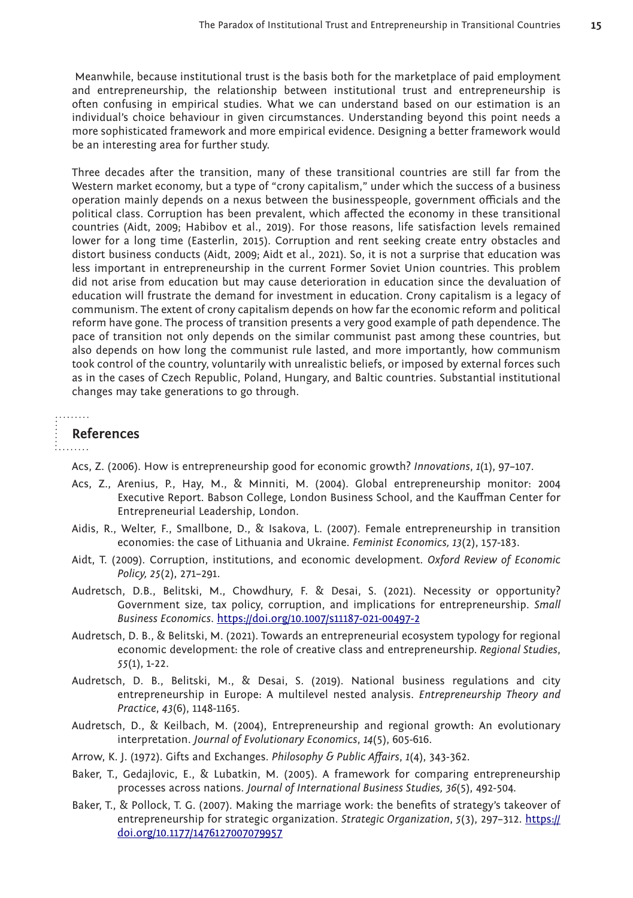Meanwhile, because institutional trust is the basis both for the marketplace of paid employment and entrepreneurship, the relationship between institutional trust and entrepreneurship is often confusing in empirical studies. What we can understand based on our estimation is an individual's choice behaviour in given circumstances. Understanding beyond this point needs a more sophisticated framework and more empirical evidence. Designing a better framework would be an interesting area for further study.

Three decades after the transition, many of these transitional countries are still far from the Western market economy, but a type of "crony capitalism," under which the success of a business operation mainly depends on a nexus between the businesspeople, government officials and the political class. Corruption has been prevalent, which affected the economy in these transitional countries (Aidt, 2009; Habibov et al., 2019). For those reasons, life satisfaction levels remained lower for a long time (Easterlin, 2015). Corruption and rent seeking create entry obstacles and distort business conducts (Aidt, 2009; Aidt et al., 2021). So, it is not a surprise that education was less important in entrepreneurship in the current Former Soviet Union countries. This problem did not arise from education but may cause deterioration in education since the devaluation of education will frustrate the demand for investment in education. Crony capitalism is a legacy of communism. The extent of crony capitalism depends on how far the economic reform and political reform have gone. The process of transition presents a very good example of path dependence. The pace of transition not only depends on the similar communist past among these countries, but also depends on how long the communist rule lasted, and more importantly, how communism took control of the country, voluntarily with unrealistic beliefs, or imposed by external forces such as in the cases of Czech Republic, Poland, Hungary, and Baltic countries. Substantial institutional changes may take generations to go through.

#### . . . . . . . .

#### **References**

**All Contracts** 

Acs, Z. (2006). How is entrepreneurship good for economic growth? *Innovations*, *1*(1), 97–107.

- Acs, Z., Arenius, P., Hay, M., & Minniti, M. (2004). Global entrepreneurship monitor: 2004 Executive Report. Babson College, London Business School, and the Kauffman Center for Entrepreneurial Leadership, London.
- Aidis, R., Welter, F., Smallbone, D., & Isakova, L. (2007). Female entrepreneurship in transition economies: the case of Lithuania and Ukraine. *Feminist Economics, 13*(2), 157-183.
- Aidt, T. (2009). Corruption, institutions, and economic development. *Oxford Review of Economic Policy, 25*(2), 271–291.
- Audretsch, D.B., Belitski, M., Chowdhury, F. & Desai, S. (2021). Necessity or opportunity? Government size, tax policy, corruption, and implications for entrepreneurship. *Small Business Economics*.<https://doi.org/10.1007/s11187-021-00497-2>
- Audretsch, D. B., & Belitski, M. (2021). Towards an entrepreneurial ecosystem typology for regional economic development: the role of creative class and entrepreneurship*. Regional Studies*, *55*(1), 1-22.
- Audretsch, D. B., Belitski, M., & Desai, S. (2019). National business regulations and city entrepreneurship in Europe: A multilevel nested analysis. *Entrepreneurship Theory and Practice*, *43*(6), 1148-1165.
- Audretsch, D., & Keilbach, M. (2004), Entrepreneurship and regional growth: An evolutionary interpretation. *Journal of Evolutionary Economics*, *14*(5), 605-616.
- Arrow, K. J. (1972). Gifts and Exchanges. *Philosophy & Public Affairs*, *1*(4), 343-362.
- Baker, T., Gedajlovic, E., & Lubatkin, M. (2005). A framework for comparing entrepreneurship processes across nations. *Journal of International Business Studies, 36*(5), 492-504*.*
- Baker, T., & Pollock, T. G. (2007). Making the marriage work: the benefits of strategy's takeover of entrepreneurship for strategic organization. *Strategic Organization*, *5*(3), 297–312. [https://](https://doi.org/10.1177/1476127007079957) [doi.org/10.1177/1476127007079957](https://doi.org/10.1177/1476127007079957)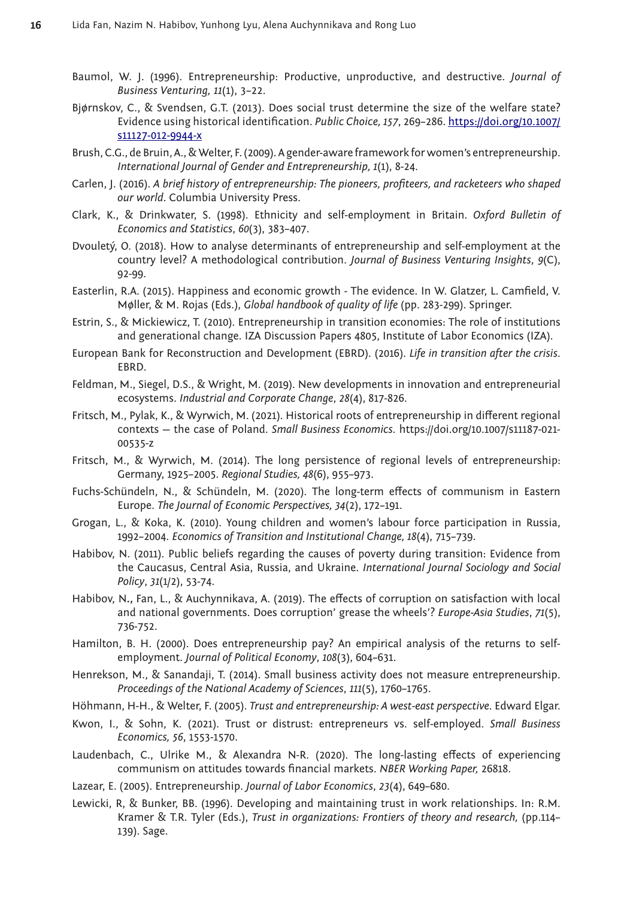- Baumol, W. J. (1996). Entrepreneurship: Productive, unproductive, and destructive. *Journal of Business Venturing, 11*(1), 3–22.
- Bjørnskov, C., & Svendsen, G.T. (2013). Does social trust determine the size of the welfare state? Evidence using historical identification. *Public Choice, 157*, 269–286. [https://doi.org/10.1007/](https://doi.org/10.1007/s11127-012-9944-x) [s11127-012-9944-x](https://doi.org/10.1007/s11127-012-9944-x)
- Brush, C.G., de Bruin, A., & Welter, F. (2009). A gender-aware framework for women's entrepreneurship. *International Journal of Gender and Entrepreneurship, 1*(1), 8-24.
- Carlen, J. (2016). *A brief history of entrepreneurship: The pioneers, profiteers, and racketeers who shaped our world*. Columbia University Press.
- Clark, K., & Drinkwater, S. (1998). Ethnicity and self-employment in Britain. *Oxford Bulletin of Economics and Statistics*, *60*(3), 383–407.
- Dvouletý, O. (2018). How to analyse determinants of entrepreneurship and self-employment at the country level? A methodological contribution. *Journal of Business Venturing Insights*, *9*(C), 92-99.
- Easterlin, R.A. (2015). Happiness and economic growth The evidence. In W. Glatzer, L. Camfield, V. Møller, & M. Rojas (Eds.), *Global handbook of quality of life* (pp. 283-299). Springer.
- Estrin, S., & Mickiewicz, T. (2010). Entrepreneurship in transition economies: The role of institutions and generational change. IZA Discussion Papers 4805, Institute of Labor Economics (IZA).
- European Bank for Reconstruction and Development (EBRD). (2016). *Life in transition after the crisis*. EBRD.
- Feldman, M., Siegel, D.S., & Wright, M. (2019). New developments in innovation and entrepreneurial ecosystems. *Industrial and Corporate Change*, *28*(4), 817-826.
- Fritsch, M., Pylak, K., & Wyrwich, M. (2021). Historical roots of entrepreneurship in different regional contexts — the case of Poland. *Small Business Economics*. https://doi.org/10.1007/s11187-021- 00535-z
- Fritsch, M., & Wyrwich, M. (2014). The long persistence of regional levels of entrepreneurship: Germany, 1925–2005. *Regional Studies, 48*(6), 955–973.
- Fuchs-Schündeln, N., & Schündeln, M. (2020). The long-term effects of communism in Eastern Europe. *The Journal of Economic Perspectives, 34*(2), 172–191.
- Grogan, L., & Koka, K. (2010). Young children and women's labour force participation in Russia, 1992–2004. *Economics of Transition and Institutional Change, 18*(4), 715–739.
- Habibov, N. (2011). Public beliefs regarding the causes of poverty during transition: Evidence from the Caucasus, Central Asia, Russia, and Ukraine. *International Journal Sociology and Social Policy*, *31*(1/2), 53-74.
- Habibov, N**.,** Fan, L., & Auchynnikava, A. (2019). The effects of corruption on satisfaction with local and national governments. Does corruption' grease the wheels'? *Europe-Asia Studies*, *71*(5), 736-752.
- Hamilton, B. H. (2000). Does entrepreneurship pay? An empirical analysis of the returns to selfemployment. *Journal of Political Economy*, *108*(3), 604–631.
- Henrekson, M., & Sanandaji, T. (2014). Small business activity does not measure entrepreneurship. *Proceedings of the National Academy of Sciences*, *111*(5), 1760–1765.
- Höhmann, H-H., & Welter, F. (2005). *Trust and entrepreneurship: A west-east perspective*. Edward Elgar.
- Kwon, I., & Sohn, K. (2021). Trust or distrust: entrepreneurs vs. self-employed. *Small Business Economics, 56*, 1553-1570.
- Laudenbach, C., Ulrike M., & Alexandra N-R. (2020). The long-lasting effects of experiencing communism on attitudes towards financial markets. *NBER Working Paper,* 26818.
- Lazear, E. (2005). Entrepreneurship. *Journal of Labor Economics*, *23*(4), 649–680.
- Lewicki, R, & Bunker, BB. (1996). Developing and maintaining trust in work relationships. In: R.M. Kramer & T.R. Tyler (Eds.), *Trust in organizations: Frontiers of theory and research,* (pp.114– 139). Sage.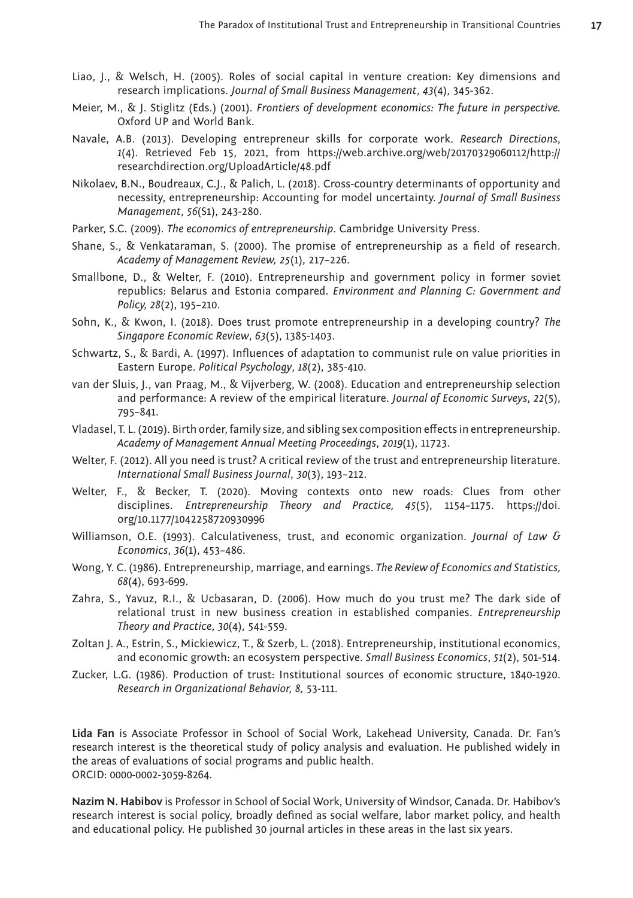- Liao, J., & Welsch, H. (2005). Roles of social capital in venture creation: Key dimensions and research implications. *Journal of Small Business Management*, *43*(4), 345-362.
- Meier, M., & J. Stiglitz (Eds.) (2001). *Frontiers of development economics: The future in perspective.* Oxford UP and World Bank.
- Navale, A.B. (2013). Developing entrepreneur skills for corporate work. *Research Directions*, *1*(4). Retrieved Feb 15, 2021, from https://web.archive.org/web/20170329060112/http:// researchdirection.org/UploadArticle/48.pdf
- Nikolaev, B.N., Boudreaux, C.J., & Palich, L. (2018). Cross-country determinants of opportunity and necessity, entrepreneurship: Accounting for model uncertainty. *Journal of Small Business Management*, *56*(S1), 243-280.
- Parker, S.C. (2009). *The economics of entrepreneurship*. Cambridge University Press.
- Shane, S., & Venkataraman, S. (2000). The promise of entrepreneurship as a field of research. *Academy of Management Review, 25*(1), 217–226.
- Smallbone, D., & Welter, F. (2010). Entrepreneurship and government policy in former soviet republics: Belarus and Estonia compared. *Environment and Planning C: Government and Policy, 28*(2), 195–210.
- Sohn, K., & Kwon, I. (2018). Does trust promote entrepreneurship in a developing country? *The Singapore Economic Review*, *63*(5), 1385-1403.
- Schwartz, S., & Bardi, A. (1997). Influences of adaptation to communist rule on value priorities in Eastern Europe. *Political Psychology*, *18*(2), 385-410.
- van der Sluis, J., van Praag, M., & Vijverberg, W. (2008). Education and entrepreneurship selection and performance: A review of the empirical literature. *Journal of Economic Surveys*, *22*(5), 795–841.
- Vladasel, T. L. (2019). Birth order, family size, and sibling sex composition effects in entrepreneurship. *Academy of Management Annual Meeting Proceedings*, *2019*(1), 11723.
- Welter, F. (2012). All you need is trust? A critical review of the trust and entrepreneurship literature. *International Small Business Journal*, *30*(3), 193–212.
- Welter, F., & Becker, T. (2020). Moving contexts onto new roads: Clues from other disciplines. *Entrepreneurship Theory and Practice, 45*(5), 1154–1175. https://doi. org/10.1177/1042258720930996
- Williamson, O.E. (1993). Calculativeness, trust, and economic organization. *Journal of Law & Economics*, *36*(1), 453–486.
- Wong, Y. C. (1986). Entrepreneurship, marriage, and earnings. *The Review of Economics and Statistics, 68*(4), 693-699.
- Zahra, S., Yavuz, R.I., & Ucbasaran, D. (2006). How much do you trust me? The dark side of relational trust in new business creation in established companies. *Entrepreneurship Theory and Practice*, *30*(4), 541-559.
- Zoltan J. A., Estrin, S., Mickiewicz, T., & Szerb, L. (2018). Entrepreneurship, institutional economics, and economic growth: an ecosystem perspective. *Small Business Economics*, *51*(2), 501-514.
- Zucker, L.G. (1986). Production of trust: Institutional sources of economic structure, 1840-1920. *Research in Organizational Behavior, 8,* 53-111.

**Lida Fan** is Associate Professor in School of Social Work, Lakehead University, Canada. Dr. Fan's research interest is the theoretical study of policy analysis and evaluation. He published widely in the areas of evaluations of social programs and public health. ORCID: 0000-0002-3059-8264.

**Nazim N. Habibov** is Professor in School of Social Work, University of Windsor, Canada. Dr. Habibov's research interest is social policy, broadly defined as social welfare, labor market policy, and health and educational policy. He published 30 journal articles in these areas in the last six years.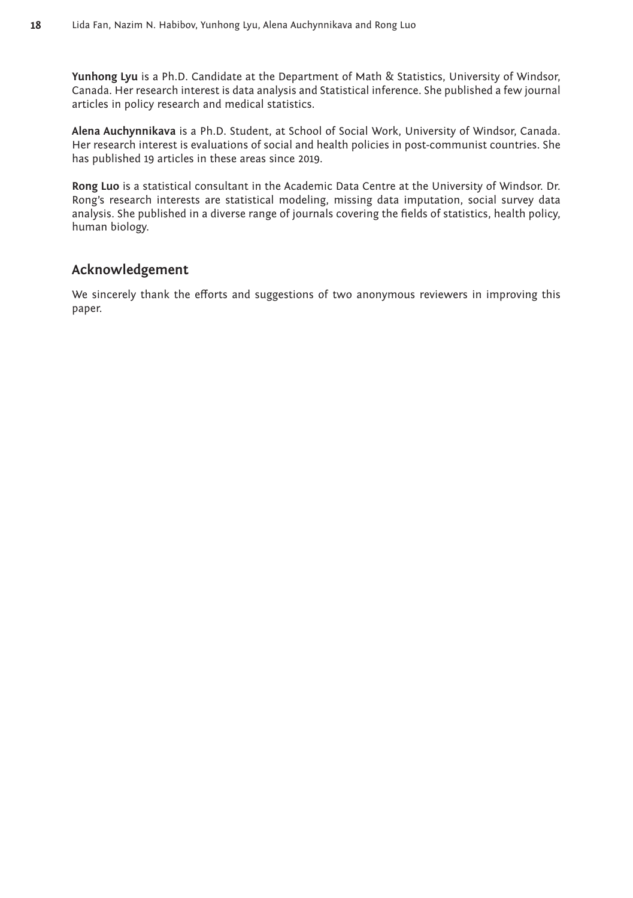**Yunhong Lyu** is a Ph.D. Candidate at the Department of Math & Statistics, University of Windsor, Canada. Her research interest is data analysis and Statistical inference. She published a few journal articles in policy research and medical statistics.

**Alena Auchynnikava** is a Ph.D. Student, at School of Social Work, University of Windsor, Canada. Her research interest is evaluations of social and health policies in post-communist countries. She has published 19 articles in these areas since 2019.

**Rong Luo** is a statistical consultant in the Academic Data Centre at the University of Windsor. Dr. Rong's research interests are statistical modeling, missing data imputation, social survey data analysis. She published in a diverse range of journals covering the fields of statistics, health policy, human biology.

# **Acknowledgement**

We sincerely thank the efforts and suggestions of two anonymous reviewers in improving this paper.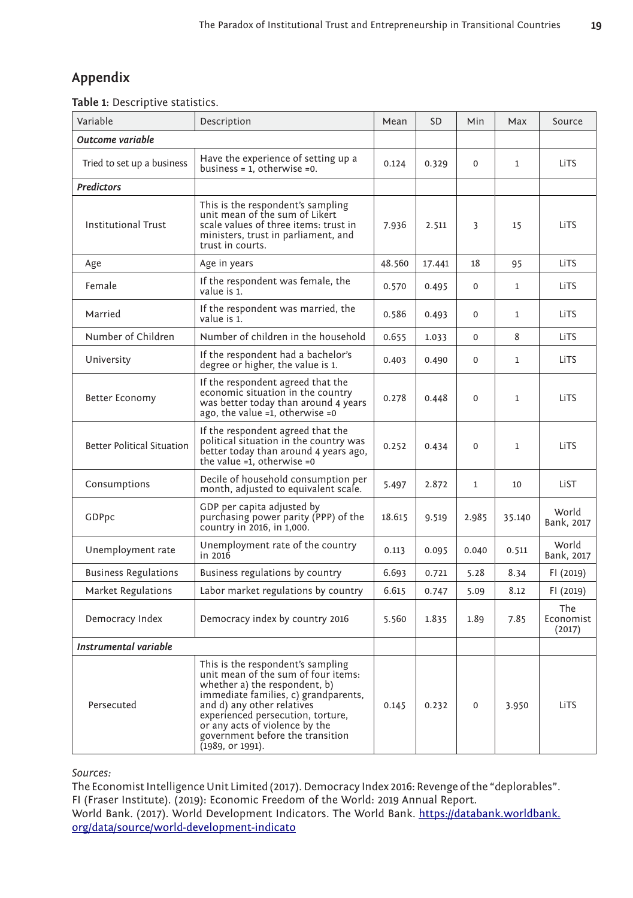# **Appendix**

|  | Table 1: Descriptive statistics. |  |
|--|----------------------------------|--|
|--|----------------------------------|--|

| Variable                          | Description                                                                                                                                                                                                                                                                                                    | Mean   | <b>SD</b> | Min          | Max          | Source                     |
|-----------------------------------|----------------------------------------------------------------------------------------------------------------------------------------------------------------------------------------------------------------------------------------------------------------------------------------------------------------|--------|-----------|--------------|--------------|----------------------------|
| Outcome variable                  |                                                                                                                                                                                                                                                                                                                |        |           |              |              |                            |
| Tried to set up a business        | Have the experience of setting up a<br>business = $1$ , otherwise = 0.                                                                                                                                                                                                                                         | 0.124  | 0.329     | $\Omega$     | $\mathbf{1}$ | LiTS                       |
| <b>Predictors</b>                 |                                                                                                                                                                                                                                                                                                                |        |           |              |              |                            |
| <b>Institutional Trust</b>        | This is the respondent's sampling<br>unit mean of the sum of Likert<br>scale values of three items: trust in<br>ministers, trust in parliament, and<br>trust in courts.                                                                                                                                        | 7.936  | 2.511     | 3            | 15           | LiTS                       |
| Age                               | Age in years                                                                                                                                                                                                                                                                                                   | 48.560 | 17.441    | 18           | 95           | LiTS                       |
| Female                            | If the respondent was female, the<br>value is 1.                                                                                                                                                                                                                                                               | 0.570  | 0.495     | $\Omega$     | 1            | LiTS                       |
| Married                           | If the respondent was married, the<br>value is 1.                                                                                                                                                                                                                                                              | 0.586  | 0.493     | 0            | 1            | LiTS                       |
| Number of Children                | Number of children in the household                                                                                                                                                                                                                                                                            | 0.655  | 1.033     | $\mathbf{0}$ | 8            | LiTS                       |
| University                        | If the respondent had a bachelor's<br>degree or higher, the value is 1.                                                                                                                                                                                                                                        | 0.403  | 0.490     | $\Omega$     | 1            | LiTS                       |
| Better Economy                    | If the respondent agreed that the<br>economic situation in the country<br>was better today than around 4 years<br>ago, the value =1, otherwise =0                                                                                                                                                              | 0.278  | 0.448     | $\Omega$     | $\mathbf{1}$ | LiTS                       |
| <b>Better Political Situation</b> | If the respondent agreed that the<br>political situation in the country was<br>better today than around 4 years ago,<br>the value =1, otherwise =0                                                                                                                                                             | 0.252  | 0.434     | $\Omega$     | $\mathbf{1}$ | LiTS                       |
| Consumptions                      | Decile of household consumption per<br>month, adjusted to equivalent scale.                                                                                                                                                                                                                                    | 5.497  | 2.872     | 1            | 10           | LiST                       |
| GDPpc                             | GDP per capita adjusted by<br>purchasing power parity (PPP) of the<br>country in 2016, in 1,000.                                                                                                                                                                                                               | 18.615 | 9.519     | 2.985        | 35.140       | World<br>Bank, 2017        |
| Unemployment rate                 | Unemployment rate of the country<br>in 2016                                                                                                                                                                                                                                                                    | 0.113  | 0.095     | 0.040        | 0.511        | World<br>Bank, 2017        |
| <b>Business Regulations</b>       | Business regulations by country                                                                                                                                                                                                                                                                                | 6.693  | 0.721     | 5.28         | 8.34         | FI (2019)                  |
| Market Regulations                | Labor market regulations by country                                                                                                                                                                                                                                                                            | 6.615  | 0.747     | 5.09         | 8.12         | FI (2019)                  |
| Democracy Index                   | Democracy index by country 2016                                                                                                                                                                                                                                                                                | 5.560  | 1.835     | 1.89         | 7.85         | The<br>Economist<br>(2017) |
| Instrumental variable             |                                                                                                                                                                                                                                                                                                                |        |           |              |              |                            |
| Persecuted                        | This is the respondent's sampling<br>unit mean of the sum of four items:<br>whether a) the respondent, b)<br>immediate families, c) grandparents,<br>and d) any other relatives<br>experienced persecution, torture,<br>or any acts of violence by the<br>government before the transition<br>(1989, or 1991). | 0.145  | 0.232     | $\Omega$     | 3.950        | LiTS                       |

*Sources:*

The Economist Intelligence Unit Limited (2017). Democracy Index 2016: Revenge of the "deplorables". FI (Fraser Institute). (2019): Economic Freedom of the World: 2019 Annual Report. World Bank. (2017). World Development Indicators. The World Bank. https://databank.worldbank. org/data/source/world-development-indicato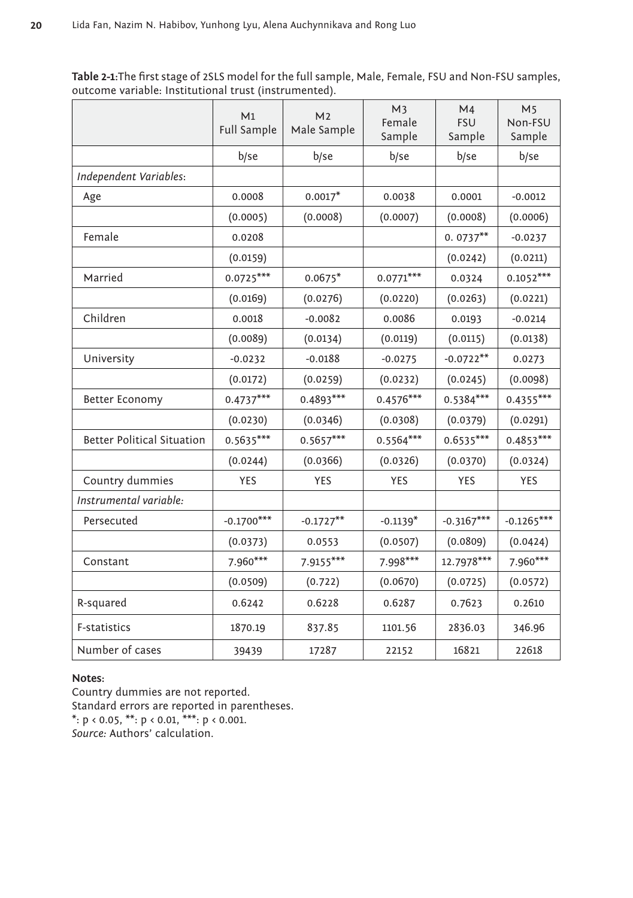**Table 2-1:**The first stage of 2SLS model for the full sample, Male, Female, FSU and Non-FSU samples, outcome variable: Institutional trust (instrumented).

|                                   | M1<br>Full Sample | M <sub>2</sub><br>Male Sample | M <sub>3</sub><br>Female<br>Sample | M4<br><b>FSU</b><br>Sample | M <sub>5</sub><br>Non-FSU<br>Sample |
|-----------------------------------|-------------------|-------------------------------|------------------------------------|----------------------------|-------------------------------------|
|                                   | b/se              | b/se                          | b/se                               | b/se                       | b/se                                |
| Independent Variables:            |                   |                               |                                    |                            |                                     |
| Age                               | 0.0008            | $0.0017*$                     | 0.0038                             | 0.0001                     | $-0.0012$                           |
|                                   | (0.0005)          | (0.0008)                      | (0.0007)                           | (0.0008)                   | (0.0006)                            |
| Female                            | 0.0208            |                               |                                    | $0.0737**$                 | $-0.0237$                           |
|                                   | (0.0159)          |                               |                                    | (0.0242)                   | (0.0211)                            |
| Married                           | $0.0725***$       | $0.0675*$                     | $0.0771***$                        | 0.0324                     | $0.1052***$                         |
|                                   | (0.0169)          | (0.0276)                      | (0.0220)                           | (0.0263)                   | (0.0221)                            |
| Children                          | 0.0018            | $-0.0082$                     | 0.0086                             | 0.0193                     | $-0.0214$                           |
|                                   | (0.0089)          | (0.0134)                      | (0.0119)                           | (0.0115)                   | (0.0138)                            |
| University                        | $-0.0232$         | $-0.0188$                     | $-0.0275$                          | $-0.0722**$                | 0.0273                              |
|                                   | (0.0172)          | (0.0259)                      | (0.0232)                           | (0.0245)                   | (0.0098)                            |
| Better Economy                    | $0.4737***$       | $0.4893***$                   | $0.4576***$                        | $0.5384***$                | $0.4355***$                         |
|                                   | (0.0230)          | (0.0346)                      | (0.0308)                           | (0.0379)                   | (0.0291)                            |
| <b>Better Political Situation</b> | $0.5635***$       | $0.5657***$                   | $0.5564***$                        | $0.6535***$                | $0.4853***$                         |
|                                   | (0.0244)          | (0.0366)                      | (0.0326)                           | (0.0370)                   | (0.0324)                            |
| Country dummies                   | <b>YES</b>        | YES                           | YES                                | YES                        | YES                                 |
| Instrumental variable:            |                   |                               |                                    |                            |                                     |
| Persecuted                        | $-0.1700***$      | $-0.1727**$                   | $-0.1139*$                         | $-0.3167***$               | $-0.1265***$                        |
|                                   | (0.0373)          | 0.0553                        | (0.0507)                           | (0.0809)                   | (0.0424)                            |
| Constant                          | $7.960***$        | $7.9155***$                   | $7.998***$                         | $12.7978***$               | $7.960***$                          |
|                                   | (0.0509)          | (0.722)                       | (0.0670)                           | (0.0725)                   | (0.0572)                            |
| R-squared                         | 0.6242            | 0.6228                        | 0.6287                             | 0.7623                     | 0.2610                              |
| F-statistics                      | 1870.19           | 837.85                        | 1101.56                            | 2836.03                    | 346.96                              |
| Number of cases                   | 39439             | 17287                         | 22152                              | 16821                      | 22618                               |

# **Notes:**

Country dummies are not reported. Standard errors are reported in parentheses.  $*$ :  $p < 0.05$ ,  $**$ :  $p < 0.01$ ,  $**$ :  $p < 0.001$ . *Source:* Authors' calculation.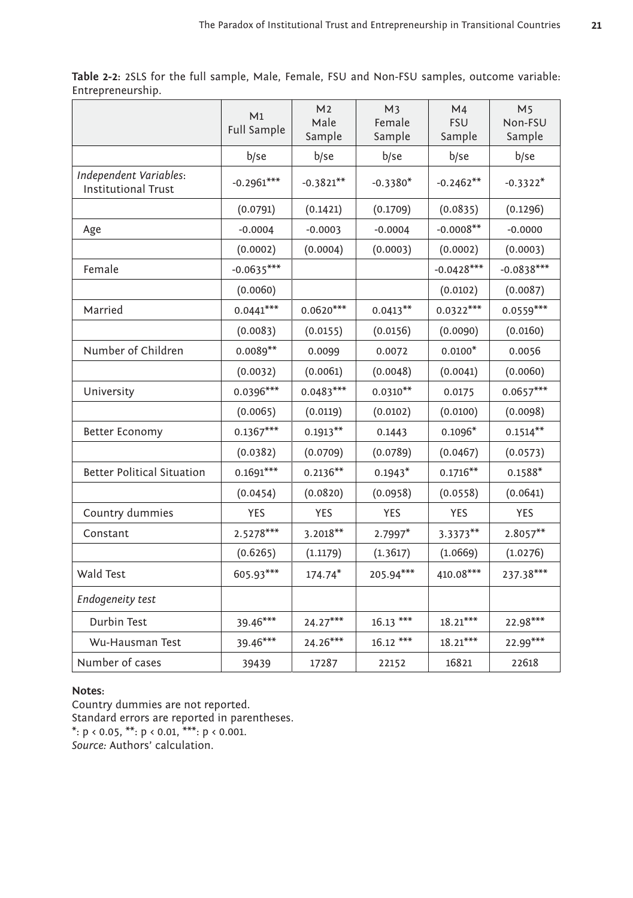**Table 2-2:** 2SLS for the full sample, Male, Female, FSU and Non-FSU samples, outcome variable: Entrepreneurship.

|                                                      | M1<br>Full Sample | M <sub>2</sub><br>Male<br>Sample | M <sub>3</sub><br>Female<br>Sample | M4<br><b>FSU</b><br>Sample | M <sub>5</sub><br>Non-FSU<br>Sample |
|------------------------------------------------------|-------------------|----------------------------------|------------------------------------|----------------------------|-------------------------------------|
|                                                      | b/se              | b/se                             | b/se                               | b/se                       | b/se                                |
| Independent Variables:<br><b>Institutional Trust</b> | $-0.2961***$      | $-0.3821**$                      | $-0.3380*$                         | $-0.2462**$                | $-0.3322*$                          |
|                                                      | (0.0791)          | (0.1421)                         | (0.1709)                           | (0.0835)                   | (0.1296)                            |
| Age                                                  | $-0.0004$         | $-0.0003$                        | $-0.0004$                          | $-0.0008**$                | $-0.0000$                           |
|                                                      | (0.0002)          | (0.0004)                         | (0.0003)                           | (0.0002)                   | (0.0003)                            |
| Female                                               | $-0.0635***$      |                                  |                                    | $-0.0428***$               | $-0.0838***$                        |
|                                                      | (0.0060)          |                                  |                                    | (0.0102)                   | (0.0087)                            |
| Married                                              | $0.0441***$       | $0.0620***$                      | $0.0413**$                         | $0.0322***$                | $0.0559***$                         |
|                                                      | (0.0083)          | (0.0155)                         | (0.0156)                           | (0.0090)                   | (0.0160)                            |
| Number of Children                                   | $0.0089**$        | 0.0099                           | 0.0072                             | $0.0100*$                  | 0.0056                              |
|                                                      | (0.0032)          | (0.0061)                         | (0.0048)                           | (0.0041)                   | (0.0060)                            |
| University                                           | $0.0396***$       | $0.0483***$                      | $0.0310**$                         | 0.0175                     | $0.0657***$                         |
|                                                      | (0.0065)          | (0.0119)                         | (0.0102)                           | (0.0100)                   | (0.0098)                            |
| Better Economy                                       | $0.1367***$       | $0.1913**$                       | 0.1443                             | $0.1096*$                  | $0.1514***$                         |
|                                                      | (0.0382)          | (0.0709)                         | (0.0789)                           | (0.0467)                   | (0.0573)                            |
| <b>Better Political Situation</b>                    | $0.1691***$       | $0.2136**$                       | $0.1943*$                          | $0.1716***$                | $0.1588*$                           |
|                                                      | (0.0454)          | (0.0820)                         | (0.0958)                           | (0.0558)                   | (0.0641)                            |
| Country dummies                                      | <b>YES</b>        | <b>YES</b>                       | <b>YES</b>                         | <b>YES</b>                 | YES                                 |
| Constant                                             | $2.5278***$       | $3.2018***$                      | $2.7997*$                          | $3.3373**$                 | $2.8057***$                         |
|                                                      | (0.6265)          | (1.1179)                         | (1.3617)                           | (1.0669)                   | (1.0276)                            |
| Wald Test                                            | 605.93***         | $174.74*$                        | 205.94***                          | 410.08***                  | 237.38***                           |
| Endogeneity test                                     |                   |                                  |                                    |                            |                                     |
| Durbin Test                                          | 39.46***          | $24.27***$                       | $16.13***$                         | $18.21***$                 | $22.98***$                          |
| Wu-Hausman Test                                      | 39.46***          | $24.26***$                       | $16.12***$                         | $18.21***$                 | $22.99***$                          |
| Number of cases                                      | 39439             | 17287                            | 22152                              | 16821                      | 22618                               |

#### **Notes:**

Country dummies are not reported. Standard errors are reported in parentheses.  $*$ :  $p < 0.05$ ,  $**$ :  $p < 0.01$ ,  $**$ :  $p < 0.001$ . *Source:* Authors' calculation.